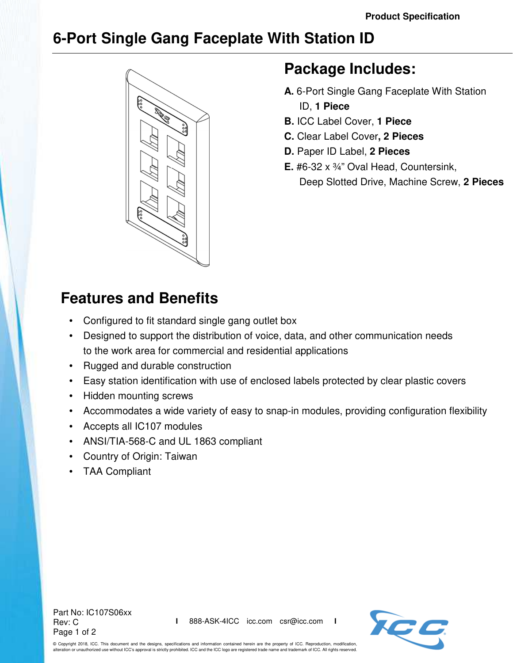## **6-Port Single Gang Faceplate With Station ID**



## **Package Includes:**

- **A.** 6-Port Single Gang Faceplate With Station ID, **1 Piece**
- **B.** ICC Label Cover, **1 Piece**
- **C.** Clear Label Cover**, 2 Pieces**
- **D.** Paper ID Label, **2 Pieces**
- **E.** #6-32 x ¾" Oval Head, Countersink, Deep Slotted Drive, Machine Screw, **2 Pieces**

## **Features and Benefits**

- Configured to fit standard single gang outlet box
- Designed to support the distribution of voice, data, and other communication needs to the work area for commercial and residential applications
- Rugged and durable construction
- Easy station identification with use of enclosed labels protected by clear plastic covers
- Hidden mounting screws
- Accommodates a wide variety of easy to snap-in modules, providing configuration flexibility
- Accepts all IC107 modules
- ANSI/TIA-568-C and UL 1863 compliant
- Country of Origin: Taiwan
- TAA Compliant

Part No: IC107S06xx Rev: C Page 1 of 2



© Copyright 2018, ICC. This document and the designs, specifications and information contained herein are the property of ICC. Reproduction, modification, alteration or unauthorized use without ICC's approval is strictly prohibited. ICC and the ICC logo are registered trade name and trademark of ICC. All rights reserved.